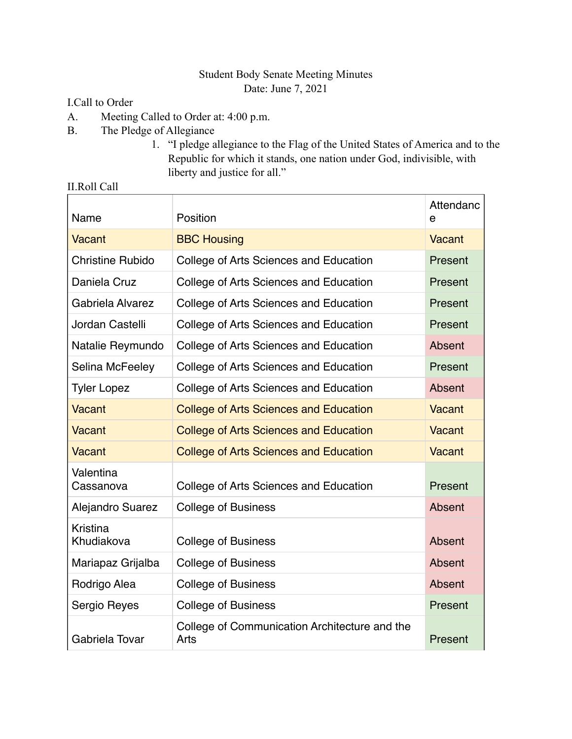## Student Body Senate Meeting Minutes Date: June 7, 2021

I.Call to Order

- A. Meeting Called to Order at: 4:00 p.m.
- B. The Pledge of Allegiance
	- 1. "I pledge allegiance to the Flag of the United States of America and to the Republic for which it stands, one nation under God, indivisible, with liberty and justice for all."

| Name                    | Position                                              | Attendanc<br>e |
|-------------------------|-------------------------------------------------------|----------------|
| Vacant                  | <b>BBC Housing</b>                                    | Vacant         |
| <b>Christine Rubido</b> | College of Arts Sciences and Education                | Present        |
| Daniela Cruz            | College of Arts Sciences and Education                | Present        |
| Gabriela Alvarez        | College of Arts Sciences and Education                | Present        |
| Jordan Castelli         | College of Arts Sciences and Education                | Present        |
| Natalie Reymundo        | College of Arts Sciences and Education                | Absent         |
| Selina McFeeley         | College of Arts Sciences and Education                | Present        |
| <b>Tyler Lopez</b>      | College of Arts Sciences and Education                | Absent         |
| <b>Vacant</b>           | <b>College of Arts Sciences and Education</b>         | Vacant         |
| <b>Vacant</b>           | <b>College of Arts Sciences and Education</b>         | Vacant         |
| <b>Vacant</b>           | <b>College of Arts Sciences and Education</b>         | <b>Vacant</b>  |
| Valentina<br>Cassanova  | College of Arts Sciences and Education                | Present        |
| <b>Alejandro Suarez</b> | <b>College of Business</b>                            | Absent         |
| Kristina<br>Khudiakova  | <b>College of Business</b>                            | Absent         |
| Mariapaz Grijalba       | <b>College of Business</b>                            | Absent         |
| Rodrigo Alea            | <b>College of Business</b>                            | Absent         |
| Sergio Reyes            | <b>College of Business</b>                            | Present        |
| Gabriela Tovar          | College of Communication Architecture and the<br>Arts | Present        |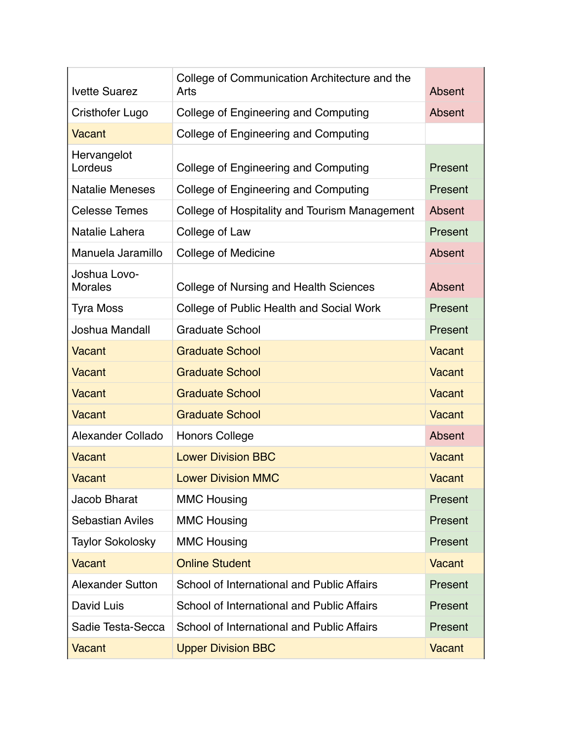| <b>Ivette Suarez</b>           | College of Communication Architecture and the<br>Arts | Absent        |
|--------------------------------|-------------------------------------------------------|---------------|
| Cristhofer Lugo                | College of Engineering and Computing                  | Absent        |
| Vacant                         | College of Engineering and Computing                  |               |
| Hervangelot<br>Lordeus         | College of Engineering and Computing                  | Present       |
| <b>Natalie Meneses</b>         | College of Engineering and Computing                  | Present       |
| <b>Celesse Temes</b>           | College of Hospitality and Tourism Management         | Absent        |
| Natalie Lahera                 | College of Law                                        | Present       |
| Manuela Jaramillo              | <b>College of Medicine</b>                            | Absent        |
| Joshua Lovo-<br><b>Morales</b> | College of Nursing and Health Sciences                | Absent        |
| <b>Tyra Moss</b>               | College of Public Health and Social Work              | Present       |
| Joshua Mandall                 | <b>Graduate School</b>                                | Present       |
| Vacant                         | <b>Graduate School</b>                                | Vacant        |
| Vacant                         | <b>Graduate School</b>                                | Vacant        |
| <b>Vacant</b>                  | <b>Graduate School</b>                                | Vacant        |
| Vacant                         | <b>Graduate School</b>                                | Vacant        |
| Alexander Collado              | <b>Honors College</b>                                 | Absent        |
| Vacant                         | <b>Lower Division BBC</b>                             | Vacant        |
| Vacant                         | <b>Lower Division MMC</b>                             | Vacant        |
| Jacob Bharat                   | <b>MMC Housing</b>                                    | Present       |
| <b>Sebastian Aviles</b>        | <b>MMC Housing</b>                                    | Present       |
| <b>Taylor Sokolosky</b>        | <b>MMC Housing</b>                                    | Present       |
| Vacant                         | <b>Online Student</b>                                 | Vacant        |
| <b>Alexander Sutton</b>        | School of International and Public Affairs            | Present       |
| David Luis                     | School of International and Public Affairs            | Present       |
| Sadie Testa-Secca              | School of International and Public Affairs            | Present       |
| Vacant                         | <b>Upper Division BBC</b>                             | <b>Vacant</b> |